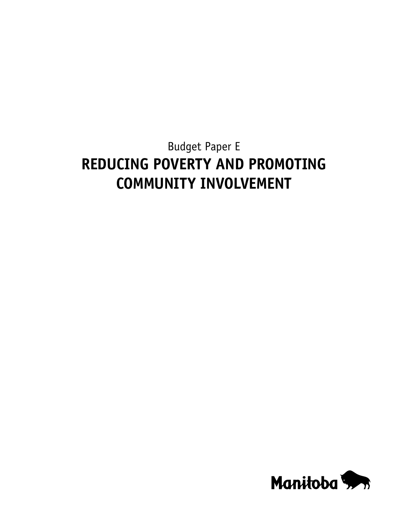# Budget Paper E **REDUCING POVERTY AND PROMOTING COMMUNITY INVOLVEMENT**

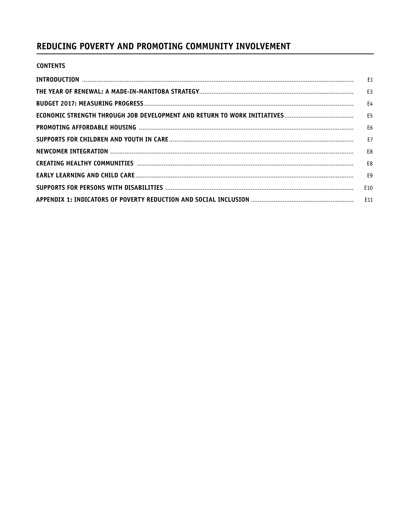# REDUCING POVERTY AND PROMOTING COMMUNITY INVOLVEMENT

|  | <b>CONTENTS</b> |
|--|-----------------|
|  |                 |

| E10 |
|-----|
|     |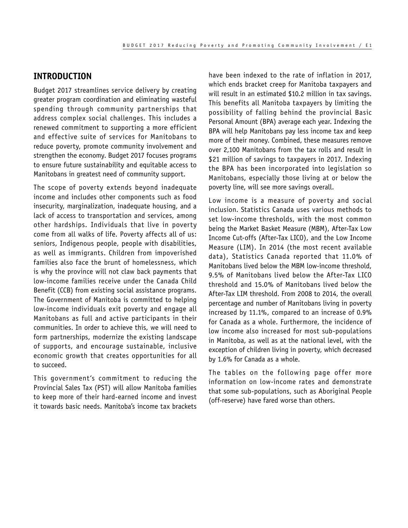#### <span id="page-2-0"></span>**INTRODUCTION**

Budget 2017 streamlines service delivery by creating greater program coordination and eliminating wasteful spending through community partnerships that address complex social challenges. This includes a renewed commitment to supporting a more efficient and effective suite of services for Manitobans to reduce poverty, promote community involvement and strengthen the economy. Budget 2017 focuses programs to ensure future sustainability and equitable access to Manitobans in greatest need of community support.

The scope of poverty extends beyond inadequate income and includes other components such as food insecurity, marginalization, inadequate housing, and a lack of access to transportation and services, among other hardships. Individuals that live in poverty come from all walks of life. Poverty affects all of us: seniors, Indigenous people, people with disabilities, as well as immigrants. Children from impoverished families also face the brunt of homelessness, which is why the province will not claw back payments that low‑income families receive under the Canada Child Benefit (CCB) from existing social assistance programs. The Government of Manitoba is committed to helping low‑income individuals exit poverty and engage all Manitobans as full and active participants in their communities. In order to achieve this, we will need to form partnerships, modernize the existing landscape of supports, and encourage sustainable, inclusive economic growth that creates opportunities for all to succeed.

This government's commitment to reducing the Provincial Sales Tax (PST) will allow Manitoba families to keep more of their hard‑earned income and invest it towards basic needs. Manitoba's income tax brackets

have been indexed to the rate of inflation in 2017, which ends bracket creep for Manitoba taxpayers and will result in an estimated \$10.2 million in tax savings. This benefits all Manitoba taxpayers by limiting the possibility of falling behind the provincial Basic Personal Amount (BPA) average each year. Indexing the BPA will help Manitobans pay less income tax and keep more of their money. Combined, these measures remove over 2,100 Manitobans from the tax rolls and result in \$21 million of savings to taxpayers in 2017. Indexing the BPA has been incorporated into legislation so Manitobans, especially those living at or below the poverty line, will see more savings overall.

Low income is a measure of poverty and social inclusion. Statistics Canada uses various methods to set low-income thresholds, with the most common being the Market Basket Measure (MBM), After-Tax Low Income Cut‑offs (After‑Tax LICO), and the Low Income Measure (LIM). In 2014 (the most recent available data), Statistics Canada reported that 11.0% of Manitobans lived below the MBM low‑income threshold, 9.5% of Manitobans lived below the After-Tax LICO threshold and 15.0% of Manitobans lived below the After-Tax LIM threshold. From 2008 to 2014, the overall percentage and number of Manitobans living in poverty increased by 11.1%, compared to an increase of 0.9% for Canada as a whole. Furthermore, the incidence of low income also increased for most sub-populations in Manitoba, as well as at the national level, with the exception of children living in poverty, which decreased by 1.6% for Canada as a whole.

The tables on the following page offer more information on low-income rates and demonstrate that some sub‑populations, such as Aboriginal People (off-reserve) have fared worse than others.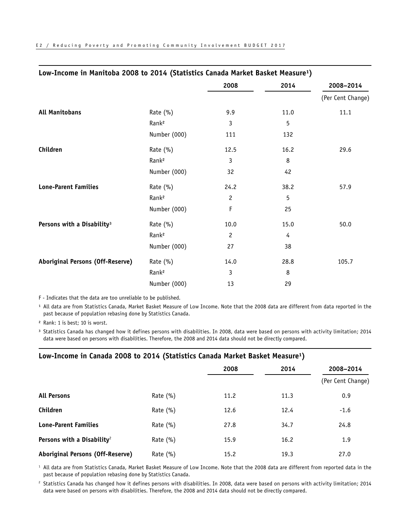| Low-Income in Manitoba 2008 to 2014 (Statistics Canada Market Basket Measure <sup>1</sup> ) |                   |                |      |                   |
|---------------------------------------------------------------------------------------------|-------------------|----------------|------|-------------------|
|                                                                                             |                   | 2008           | 2014 | 2008-2014         |
|                                                                                             |                   |                |      | (Per Cent Change) |
| <b>All Manitobans</b>                                                                       | Rate (%)          | 9.9            | 11.0 | 11.1              |
|                                                                                             | Rank <sup>2</sup> | 3              | 5    |                   |
|                                                                                             | Number (000)      | 111            | 132  |                   |
| Children                                                                                    | Rate (%)          | 12.5           | 16.2 | 29.6              |
|                                                                                             | Rank <sup>2</sup> | 3              | 8    |                   |
|                                                                                             | Number (000)      | 32             | 42   |                   |
| <b>Lone-Parent Families</b>                                                                 | Rate (%)          | 24.2           | 38.2 | 57.9              |
|                                                                                             | Rank <sup>2</sup> | $\overline{c}$ | 5    |                   |
|                                                                                             | Number (000)      | F              | 25   |                   |
| Persons with a Disability <sup>3</sup>                                                      | Rate (%)          | 10.0           | 15.0 | 50.0              |
|                                                                                             | Rank <sup>2</sup> | $\overline{c}$ | 4    |                   |
|                                                                                             | Number (000)      | 27             | 38   |                   |
| <b>Aboriginal Persons (Off-Reserve)</b>                                                     | Rate $(\% )$      | 14.0           | 28.8 | 105.7             |
|                                                                                             | Rank <sup>2</sup> | 3              | 8    |                   |
|                                                                                             | Number (000)      | 13             | 29   |                   |

F ‑ Indicates that the data are too unreliable to be published.

<sup>1</sup> All data are from Statistics Canada, Market Basket Measure of Low Income. Note that the 2008 data are different from data reported in the past because of population rebasing done by Statistics Canada.

² Rank: 1 is best; 10 is worst.

<sup>3</sup> Statistics Canada has changed how it defines persons with disabilities. In 2008, data were based on persons with activity limitation; 2014 data were based on persons with disabilities. Therefore, the 2008 and 2014 data should not be directly compared.

#### Low-Income in Canada 2008 to 2014 (Statistics Canada Market Basket Measure<sup>1</sup>)

|                                        |              | 2008 | 2014 | 2008-2014         |
|----------------------------------------|--------------|------|------|-------------------|
|                                        |              |      |      | (Per Cent Change) |
| <b>All Persons</b>                     | Rate $(\% )$ | 11.2 | 11.3 | 0.9               |
| Children                               | Rate $(\% )$ | 12.6 | 12.4 | $-1.6$            |
| <b>Lone-Parent Families</b>            | Rate $(\% )$ | 27.8 | 34.7 | 24.8              |
| Persons with a Disability <sup>2</sup> | Rate $(\% )$ | 15.9 | 16.2 | 1.9               |
| Aboriginal Persons (Off-Reserve)       | Rate $(\% )$ | 15.2 | 19.3 | 27.0              |

<sup>1</sup> All data are from Statistics Canada, Market Basket Measure of Low Income. Note that the 2008 data are different from reported data in the past because of population rebasing done by Statistics Canada.

<sup>2</sup> Statistics Canada has changed how it defines persons with disabilities. In 2008, data were based on persons with activity limitation; 2014 data were based on persons with disabilities. Therefore, the 2008 and 2014 data should not be directly compared.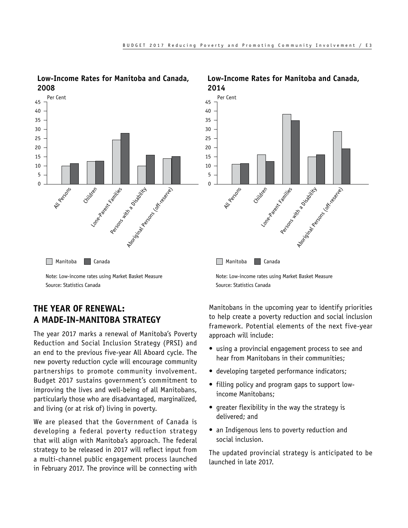

<span id="page-4-0"></span>**Low-Income Rates for Manitoba and Canada, 2008**

Note: Low‑income rates using Market Basket Measure Source: Statistics Canada

# **THE YEAR OF RENEWAL: A MADE-IN-MANITOBA STRATEGY**

The year 2017 marks a renewal of Manitoba's Poverty Reduction and Social Inclusion Strategy (PRSI) and an end to the previous five‑year All Aboard cycle. The new poverty reduction cycle will encourage community partnerships to promote community involvement. Budget 2017 sustains government's commitment to improving the lives and well-being of all Manitobans, particularly those who are disadvantaged, marginalized, and living (or at risk of) living in poverty.

We are pleased that the Government of Canada is developing a federal poverty reduction strategy that will align with Manitoba's approach. The federal strategy to be released in 2017 will reflect input from a multi-channel public engagement process launched in February 2017. The province will be connecting with



# **Low-Income Rates for Manitoba and Canada,**

Note: Low‑income rates using Market Basket Measure Source: Statistics Canada

Manitobans in the upcoming year to identify priorities to help create a poverty reduction and social inclusion framework. Potential elements of the next five-year approach will include:

- using a provincial engagement process to see and hear from Manitobans in their communities;
- developing targeted performance indicators;
- filling policy and program gaps to support lowincome Manitobans;
- greater flexibility in the way the strategy is delivered; and
- an Indigenous lens to poverty reduction and social inclusion.

The updated provincial strategy is anticipated to be launched in late 2017.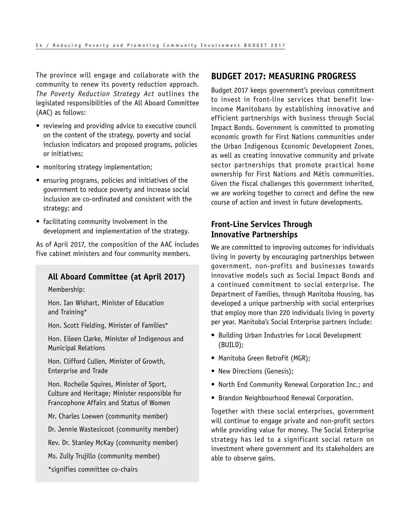<span id="page-5-0"></span>The province will engage and collaborate with the community to renew its poverty reduction approach. *The Poverty Reduction Strategy Act* outlines the legislated responsibilities of the All Aboard Committee (AAC) as follows:

- reviewing and providing advice to executive council on the content of the strategy, poverty and social inclusion indicators and proposed programs, policies or initiatives;
- monitoring strategy implementation;
- ensuring programs, policies and initiatives of the government to reduce poverty and increase social inclusion are co‑ordinated and consistent with the strategy; and
- facilitating community involvement in the development and implementation of the strategy.

As of April 2017, the composition of the AAC includes five cabinet ministers and four community members.

# **All Aboard Committee (at April 2017)**

Membership:

Hon. Ian Wishart, Minister of Education and Training\*

Hon. Scott Fielding, Minister of Families\*

Hon. Eileen Clarke, Minister of Indigenous and Municipal Relations

Hon. Clifford Cullen, Minister of Growth, Enterprise and Trade

Hon. Rochelle Squires, Minister of Sport, Culture and Heritage; Minister responsible for Francophone Affairs and Status of Women

Mr. Charles Loewen (community member)

Dr. Jennie Wastesicoot (community member)

Rev. Dr. Stanley McKay (community member)

Ms. Zully Trujillo (community member)

\*signifies committee co‑chairs

#### **BUDGET 2017: MEASURING PROGRESS**

Budget 2017 keeps government's previous commitment to invest in front-line services that benefit lowincome Manitobans by establishing innovative and efficient partnerships with business through Social Impact Bonds. Government is committed to promoting economic growth for First Nations communities under the Urban Indigenous Economic Development Zones, as well as creating innovative community and private sector partnerships that promote practical home ownership for First Nations and Métis communities. Given the fiscal challenges this government inherited, we are working together to correct and define the new course of action and invest in future developments.

# **Front-Line Services Through Innovative Partnerships**

We are committed to improving outcomes for individuals living in poverty by encouraging partnerships between government, non‑profits and businesses towards innovative models such as Social Impact Bonds and a continued commitment to social enterprise. The Department of Families, through Manitoba Housing, has developed a unique partnership with social enterprises that employ more than 220 individuals living in poverty per year. Manitoba's Social Enterprise partners include:

- Building Urban Industries for Local Development (BUILD);
- Manitoba Green Retrofit (MGR);
- New Directions (Genesis);
- North End Community Renewal Corporation Inc.; and
- Brandon Neighbourhood Renewal Corporation.

Together with these social enterprises, government will continue to engage private and non-profit sectors while providing value for money. The Social Enterprise strategy has led to a significant social return on investment where government and its stakeholders are able to observe gains.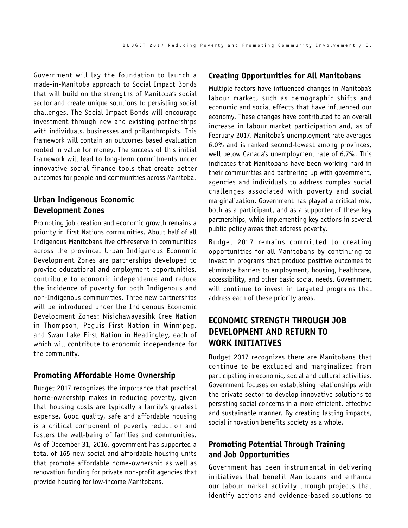<span id="page-6-0"></span>Government will lay the foundation to launch a made‑in‑Manitoba approach to Social Impact Bonds that will build on the strengths of Manitoba's social sector and create unique solutions to persisting social challenges. The Social Impact Bonds will encourage investment through new and existing partnerships with individuals, businesses and philanthropists. This framework will contain an outcomes based evaluation rooted in value for money. The success of this initial framework will lead to long-term commitments under innovative social finance tools that create better outcomes for people and communities across Manitoba.

## **Urban Indigenous Economic Development Zones**

Promoting job creation and economic growth remains a priority in First Nations communities. About half of all Indigenous Manitobans live off-reserve in communities across the province. Urban Indigenous Economic Development Zones are partnerships developed to provide educational and employment opportunities, contribute to economic independence and reduce the incidence of poverty for both Indigenous and non‑Indigenous communities. Three new partnerships will be introduced under the Indigenous Economic Development Zones: Nisichawayasihk Cree Nation in Thompson, Peguis First Nation in Winnipeg, and Swan Lake First Nation in Headingley, each of which will contribute to economic independence for the community.

#### **Promoting Affordable Home Ownership**

Budget 2017 recognizes the importance that practical home-ownership makes in reducing poverty, given that housing costs are typically a family's greatest expense. Good quality, safe and affordable housing is a critical component of poverty reduction and fosters the well-being of families and communities. As of December 31, 2016, government has supported a total of 165 new social and affordable housing units that promote affordable home‑ownership as well as renovation funding for private non‑profit agencies that provide housing for low‑income Manitobans.

#### **Creating Opportunities for All Manitobans**

Multiple factors have influenced changes in Manitoba's labour market, such as demographic shifts and economic and social effects that have influenced our economy. These changes have contributed to an overall increase in labour market participation and, as of February 2017, Manitoba's unemployment rate averages 6.0% and is ranked second‑lowest among provinces, well below Canada's unemployment rate of 6.7%. This indicates that Manitobans have been working hard in their communities and partnering up with government, agencies and individuals to address complex social challenges associated with poverty and social marginalization. Government has played a critical role, both as a participant, and as a supporter of these key partnerships, while implementing key actions in several public policy areas that address poverty.

Budget 2017 remains committed to creating opportunities for all Manitobans by continuing to invest in programs that produce positive outcomes to eliminate barriers to employment, housing, healthcare, accessibility, and other basic social needs. Government will continue to invest in targeted programs that address each of these priority areas.

# **ECONOMIC STRENGTH THROUGH JOB DEVELOPMENT AND RETURN TO WORK INITIATIVES**

Budget 2017 recognizes there are Manitobans that continue to be excluded and marginalized from participating in economic, social and cultural activities. Government focuses on establishing relationships with the private sector to develop innovative solutions to persisting social concerns in a more efficient, effective and sustainable manner. By creating lasting impacts, social innovation benefits society as a whole.

# **Promoting Potential Through Training and Job Opportunities**

Government has been instrumental in delivering initiatives that benefit Manitobans and enhance our labour market activity through projects that identify actions and evidence-based solutions to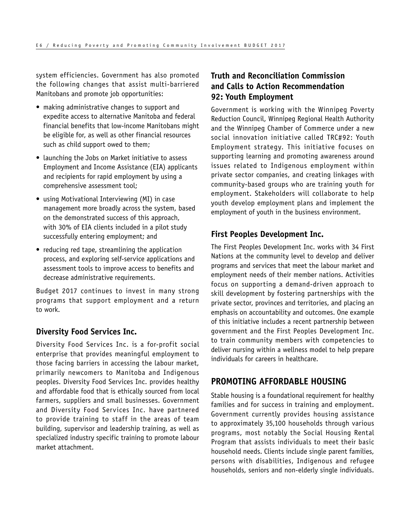<span id="page-7-0"></span>system efficiencies. Government has also promoted the following changes that assist multi‑barriered Manitobans and promote job opportunities:

- making administrative changes to support and expedite access to alternative Manitoba and federal financial benefits that low-income Manitobans might be eligible for, as well as other financial resources such as child support owed to them;
- launching the Jobs on Market initiative to assess Employment and Income Assistance (EIA) applicants and recipients for rapid employment by using a comprehensive assessment tool;
- using Motivational Interviewing (MI) in case management more broadly across the system, based on the demonstrated success of this approach, with 30% of EIA clients included in a pilot study successfully entering employment; and
- reducing red tape, streamlining the application process, and exploring self-service applications and assessment tools to improve access to benefits and decrease administrative requirements.

Budget 2017 continues to invest in many strong programs that support employment and a return to work.

#### **Diversity Food Services Inc.**

Diversity Food Services Inc. is a for-profit social enterprise that provides meaningful employment to those facing barriers in accessing the labour market, primarily newcomers to Manitoba and Indigenous peoples. Diversity Food Services Inc. provides healthy and affordable food that is ethically sourced from local farmers, suppliers and small businesses. Government and Diversity Food Services Inc. have partnered to provide training to staff in the areas of team building, supervisor and leadership training, as well as specialized industry specific training to promote labour market attachment.

# **Truth and Reconciliation Commission and Calls to Action Recommendation 92: Youth Employment**

Government is working with the Winnipeg Poverty Reduction Council, Winnipeg Regional Health Authority and the Winnipeg Chamber of Commerce under a new social innovation initiative called TRC#92: Youth Employment strategy. This initiative focuses on supporting learning and promoting awareness around issues related to Indigenous employment within private sector companies, and creating linkages with community‑based groups who are training youth for employment. Stakeholders will collaborate to help youth develop employment plans and implement the employment of youth in the business environment.

# **First Peoples Development Inc.**

The First Peoples Development Inc. works with 34 First Nations at the community level to develop and deliver programs and services that meet the labour market and employment needs of their member nations. Activities focus on supporting a demand‑driven approach to skill development by fostering partnerships with the private sector, provinces and territories, and placing an emphasis on accountability and outcomes. One example of this initiative includes a recent partnership between government and the First Peoples Development Inc. to train community members with competencies to deliver nursing within a wellness model to help prepare individuals for careers in healthcare.

#### **PROMOTING AFFORDABLE HOUSING**

Stable housing is a foundational requirement for healthy families and for success in training and employment. Government currently provides housing assistance to approximately 35,100 households through various programs, most notably the Social Housing Rental Program that assists individuals to meet their basic household needs. Clients include single parent families, persons with disabilities, Indigenous and refugee households, seniors and non-elderly single individuals.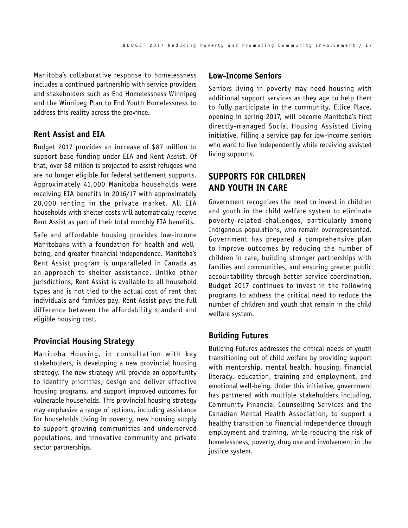<span id="page-8-0"></span>Manitoba's collaborative response to homelessness includes a continued partnership with service providers and stakeholders such as End Homelessness Winnipeg and the Winnipeg Plan to End Youth Homelessness to address this reality across the province.

#### **Rent Assist and EIA**

Budget 2017 provides an increase of \$87 million to support base funding under EIA and Rent Assist. Of that, over \$8 million is projected to assist refugees who are no longer eligible for federal settlement supports. Approximately 41,000 Manitoba households were receiving EIA benefits in 2016/17 with approximately 20,000 renting in the private market. All EIA households with shelter costs will automatically receive Rent Assist as part of their total monthly EIA benefits.

Safe and affordable housing provides low-income Manitobans with a foundation for health and wellbeing, and greater financial independence. Manitoba's Rent Assist program is unparalleled in Canada as an approach to shelter assistance. Unlike other jurisdictions, Rent Assist is available to all household types and is not tied to the actual cost of rent that individuals and families pay. Rent Assist pays the full difference between the affordability standard and eligible housing cost.

#### **Provincial Housing Strategy**

Manitoba Housing, in consultation with key stakeholders, is developing a new provincial housing strategy. The new strategy will provide an opportunity to identify priorities, design and deliver effective housing programs, and support improved outcomes for vulnerable households. This provincial housing strategy may emphasize a range of options, including assistance for households living in poverty, new housing supply to support growing communities and underserved populations, and innovative community and private sector partnerships.

#### **Low-Income Seniors**

Seniors living in poverty may need housing with additional support services as they age to help them to fully participate in the community. Ellice Place, opening in spring 2017, will become Manitoba's first directly‑managed Social Housing Assisted Living initiative, filling a service gap for low-income seniors who want to live independently while receiving assisted living supports.

# **SUPPORTS FOR CHILDREN AND YOUTH IN CARE**

Government recognizes the need to invest in children and youth in the child welfare system to eliminate poverty‑related challenges, particularly among Indigenous populations, who remain overrepresented. Government has prepared a comprehensive plan to improve outcomes by reducing the number of children in care, building stronger partnerships with families and communities, and ensuring greater public accountability through better service coordination. Budget 2017 continues to invest in the following programs to address the critical need to reduce the number of children and youth that remain in the child welfare system.

#### **Building Futures**

Building Futures addresses the critical needs of youth transitioning out of child welfare by providing support with mentorship, mental health, housing, financial literacy, education, training and employment, and emotional well-being. Under this initiative, government has partnered with multiple stakeholders including, Community Financial Counselling Services and the Canadian Mental Health Association, to support a healthy transition to financial independence through employment and training, while reducing the risk of homelessness, poverty, drug use and involvement in the justice system.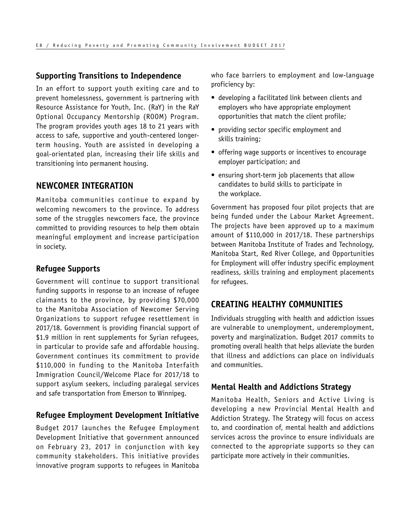#### <span id="page-9-0"></span>**Supporting Transitions to Independence**

In an effort to support youth exiting care and to prevent homelessness, government is partnering with Resource Assistance for Youth, Inc. (RaY) in the RaY Optional Occupancy Mentorship (ROOM) Program. The program provides youth ages 18 to 21 years with access to safe, supportive and youth-centered longerterm housing. Youth are assisted in developing a goal‑orientated plan, increasing their life skills and transitioning into permanent housing.

#### **NEWCOMER INTEGRATION**

Manitoba communities continue to expand by welcoming newcomers to the province. To address some of the struggles newcomers face, the province committed to providing resources to help them obtain meaningful employment and increase participation in society.

#### **Refugee Supports**

Government will continue to support transitional funding supports in response to an increase of refugee claimants to the province, by providing \$70,000 to the Manitoba Association of Newcomer Serving Organizations to support refugee resettlement in 2017/18. Government is providing financial support of \$1.9 million in rent supplements for Syrian refugees, in particular to provide safe and affordable housing. Government continues its commitment to provide \$110,000 in funding to the Manitoba Interfaith Immigration Council/Welcome Place for 2017/18 to support asylum seekers, including paralegal services and safe transportation from Emerson to Winnipeg.

#### **Refugee Employment Development Initiative**

Budget 2017 launches the Refugee Employment Development Initiative that government announced on February 23, 2017 in conjunction with key community stakeholders. This initiative provides innovative program supports to refugees in Manitoba who face barriers to employment and low-language proficiency by:

- developing a facilitated link between clients and employers who have appropriate employment opportunities that match the client profile;
- providing sector specific employment and skills training;
- offering wage supports or incentives to encourage employer participation; and
- ensuring short-term job placements that allow candidates to build skills to participate in the workplace.

Government has proposed four pilot projects that are being funded under the Labour Market Agreement. The projects have been approved up to a maximum amount of \$110,000 in 2017/18. These partnerships between Manitoba Institute of Trades and Technology, Manitoba Start, Red River College, and Opportunities for Employment will offer industry specific employment readiness, skills training and employment placements for refugees.

#### **CREATING HEALTHY COMMUNITIES**

Individuals struggling with health and addiction issues are vulnerable to unemployment, underemployment, poverty and marginalization. Budget 2017 commits to promoting overall health that helps alleviate the burden that illness and addictions can place on individuals and communities.

#### **Mental Health and Addictions Strategy**

Manitoba Health, Seniors and Active Living is developing a new Provincial Mental Health and Addiction Strategy. The Strategy will focus on access to, and coordination of, mental health and addictions services across the province to ensure individuals are connected to the appropriate supports so they can participate more actively in their communities.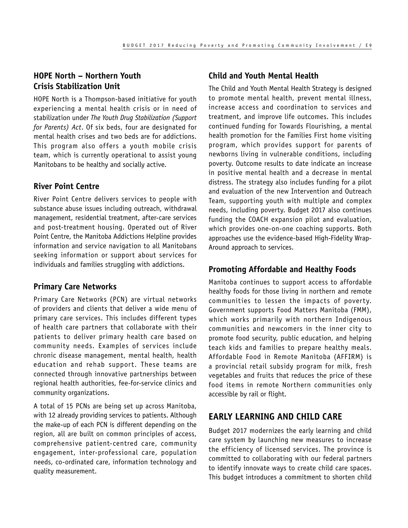## <span id="page-10-0"></span>**HOPE North – Northern Youth Crisis Stabilization Unit**

HOPE North is a Thompson-based initiative for youth experiencing a mental health crisis or in need of stabilization under *The Youth Drug Stabilization (Support for Parents) Act*. Of six beds, four are designated for mental health crises and two beds are for addictions. This program also offers a youth mobile crisis team, which is currently operational to assist young Manitobans to be healthy and socially active.

#### **River Point Centre**

River Point Centre delivers services to people with substance abuse issues including outreach, withdrawal management, residential treatment, after-care services and post-treatment housing. Operated out of River Point Centre, the Manitoba Addictions Helpline provides information and service navigation to all Manitobans seeking information or support about services for individuals and families struggling with addictions.

#### **Primary Care Networks**

Primary Care Networks (PCN) are virtual networks of providers and clients that deliver a wide menu of primary care services. This includes different types of health care partners that collaborate with their patients to deliver primary health care based on community needs. Examples of services include chronic disease management, mental health, health education and rehab support. These teams are connected through innovative partnerships between regional health authorities, fee-for-service clinics and community organizations.

A total of 15 PCNs are being set up across Manitoba, with 12 already providing services to patients. Although the make‑up of each PCN is different depending on the region, all are built on common principles of access, comprehensive patient-centred care, community engagement, inter‑professional care, population needs, co‑ordinated care, information technology and quality measurement.

### **Child and Youth Mental Health**

The Child and Youth Mental Health Strategy is designed to promote mental health, prevent mental illness, increase access and coordination to services and treatment, and improve life outcomes. This includes continued funding for Towards Flourishing, a mental health promotion for the Families First home visiting program, which provides support for parents of newborns living in vulnerable conditions, including poverty. Outcome results to date indicate an increase in positive mental health and a decrease in mental distress. The strategy also includes funding for a pilot and evaluation of the new Intervention and Outreach Team, supporting youth with multiple and complex needs, including poverty. Budget 2017 also continues funding the COACH expansion pilot and evaluation, which provides one-on-one coaching supports. Both approaches use the evidence-based High-Fidelity Wrap-Around approach to services.

# **Promoting Affordable and Healthy Foods**

Manitoba continues to support access to affordable healthy foods for those living in northern and remote communities to lessen the impacts of poverty. Government supports Food Matters Manitoba (FMM), which works primarily with northern Indigenous communities and newcomers in the inner city to promote food security, public education, and helping teach kids and families to prepare healthy meals. Affordable Food in Remote Manitoba (AFFIRM) is a provincial retail subsidy program for milk, fresh vegetables and fruits that reduces the price of these food items in remote Northern communities only accessible by rail or flight.

# **EARLY LEARNING AND CHILD CARE**

Budget 2017 modernizes the early learning and child care system by launching new measures to increase the efficiency of licensed services. The province is committed to collaborating with our federal partners to identify innovate ways to create child care spaces. This budget introduces a commitment to shorten child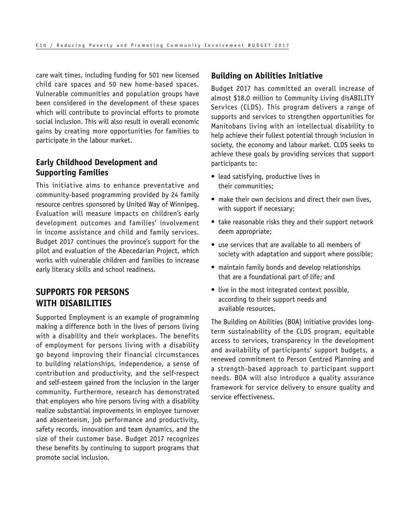<span id="page-11-0"></span>care wait times, including funding for 501 new licensed child care spaces and 50 new home-based spaces. Vulnerable communities and population groups have been considered in the development of these spaces which will contribute to provincial efforts to promote social inclusion. This will also result in overall economic gains by creating more opportunities for families to participate in the labour market.

# **Early Childhood Development and Supporting Families**

This initiative aims to enhance preventative and community‑based programming provided by 24 family resource centres sponsored by United Way of Winnipeg. Evaluation will measure impacts on children's early development outcomes and families' involvement in income assistance and child and family services. Budget 2017 continues the province's support for the pilot and evaluation of the Abecedarian Project, which works with vulnerable children and families to increase early literacy skills and school readiness.

# **SUPPORTS FOR PERSONS WITH DISABILITIES**

Supported Employment is an example of programming making a difference both in the lives of persons living with a disability and their workplaces. The benefits of employment for persons living with a disability go beyond improving their financial circumstances to building relationships, independence, a sense of contribution and productivity, and the self‑respect and self‑esteem gained from the inclusion in the larger community. Furthermore, research has demonstrated that employers who hire persons living with a disability realize substantial improvements in employee turnover and absenteeism, job performance and productivity, safety records, innovation and team dynamics, and the size of their customer base. Budget 2017 recognizes these benefits by continuing to support programs that promote social inclusion.

#### **Building on Abilities Initiative**

Budget 2017 has committed an overall increase of almost \$18.0 million to Community Living disABILITY Services (CLDS). This program delivers a range of supports and services to strengthen opportunities for Manitobans living with an intellectual disability to help achieve their fullest potential through inclusion in society, the economy and labour market. CLDS seeks to achieve these goals by providing services that support participants to:

- lead satisfying, productive lives in their communities;
- make their own decisions and direct their own lives, with support if necessary;
- take reasonable risks they and their support network deem appropriate;
- use services that are available to all members of society with adaptation and support where possible;
- maintain family bonds and develop relationships that are a foundational part of life; and
- live in the most integrated context possible, according to their support needs and available resources.

The Building on Abilities (BOA) initiative provides longterm sustainability of the CLDS program, equitable access to services, transparency in the development and availability of participants' support budgets, a renewed commitment to Person Centred Planning and a strength-based approach to participant support needs. BOA will also introduce a quality assurance framework for service delivery to ensure quality and service effectiveness.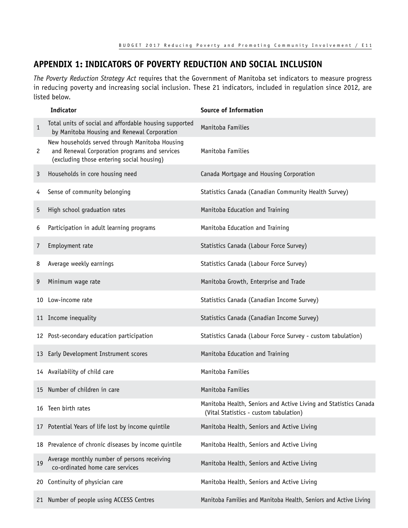# <span id="page-12-0"></span>**APPENDIX 1: INDICATORS OF POVERTY REDUCTION AND SOCIAL INCLUSION**

*The Poverty Reduction Strategy Act* requires that the Government of Manitoba set indicators to measure progress in reducing poverty and increasing social inclusion. These 21 indicators, included in regulation since 2012, are listed below.

|              | <b>Indicator</b>                                                                                                                             | <b>Source of Information</b>                                                                               |
|--------------|----------------------------------------------------------------------------------------------------------------------------------------------|------------------------------------------------------------------------------------------------------------|
| $\mathbf{1}$ | Total units of social and affordable housing supported<br>by Manitoba Housing and Renewal Corporation                                        | Manitoba Families                                                                                          |
| $\mathbf{2}$ | New households served through Manitoba Housing<br>and Renewal Corporation programs and services<br>(excluding those entering social housing) | Manitoba Families                                                                                          |
| 3            | Households in core housing need                                                                                                              | Canada Mortgage and Housing Corporation                                                                    |
| 4            | Sense of community belonging                                                                                                                 | Statistics Canada (Canadian Community Health Survey)                                                       |
| 5            | High school graduation rates                                                                                                                 | Manitoba Education and Training                                                                            |
| 6            | Participation in adult learning programs                                                                                                     | Manitoba Education and Training                                                                            |
| 7            | Employment rate                                                                                                                              | Statistics Canada (Labour Force Survey)                                                                    |
| 8            | Average weekly earnings                                                                                                                      | Statistics Canada (Labour Force Survey)                                                                    |
| 9            | Minimum wage rate                                                                                                                            | Manitoba Growth, Enterprise and Trade                                                                      |
| 10           | Low-income rate                                                                                                                              | Statistics Canada (Canadian Income Survey)                                                                 |
|              | 11 Income inequality                                                                                                                         | Statistics Canada (Canadian Income Survey)                                                                 |
|              | 12 Post-secondary education participation                                                                                                    | Statistics Canada (Labour Force Survey - custom tabulation)                                                |
|              | 13 Early Development Instrument scores                                                                                                       | Manitoba Education and Training                                                                            |
|              | 14 Availability of child care                                                                                                                | Manitoba Families                                                                                          |
|              | 15 Number of children in care                                                                                                                | Manitoba Families                                                                                          |
| 16           | Teen birth rates                                                                                                                             | Manitoba Health, Seniors and Active Living and Statistics Canada<br>(Vital Statistics - custom tabulation) |
| 17           | Potential Years of life lost by income quintile                                                                                              | Manitoba Health, Seniors and Active Living                                                                 |
|              | 18 Prevalence of chronic diseases by income quintile                                                                                         | Manitoba Health, Seniors and Active Living                                                                 |
| 19           | Average monthly number of persons receiving<br>co-ordinated home care services                                                               | Manitoba Health, Seniors and Active Living                                                                 |
| 20           | Continuity of physician care                                                                                                                 | Manitoba Health, Seniors and Active Living                                                                 |
|              | 21 Number of people using ACCESS Centres                                                                                                     | Manitoba Families and Manitoba Health, Seniors and Active Living                                           |